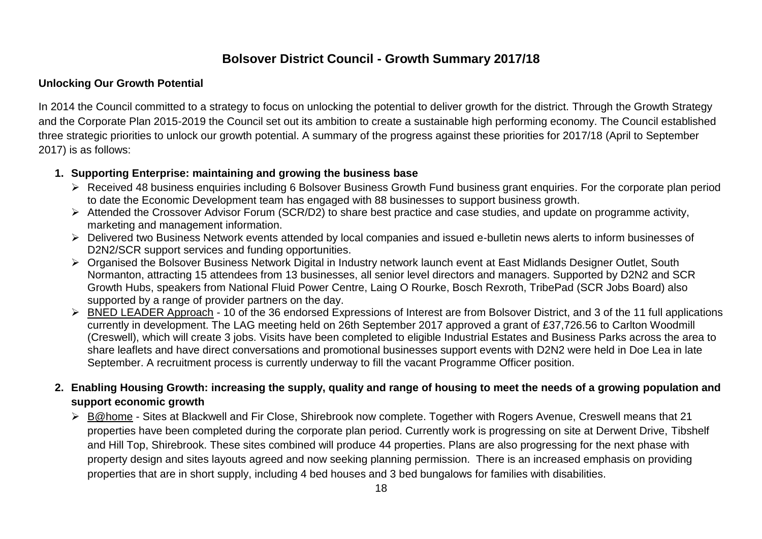# **Bolsover District Council - Growth Summary 2017/18**

#### **Unlocking Our Growth Potential**

In 2014 the Council committed to a strategy to focus on unlocking the potential to deliver growth for the district. Through the Growth Strategy and the Corporate Plan 2015-2019 the Council set out its ambition to create a sustainable high performing economy. The Council established three strategic priorities to unlock our growth potential. A summary of the progress against these priorities for 2017/18 (April to September 2017) is as follows:

### **1. Supporting Enterprise: maintaining and growing the business base**

- Received 48 business enquiries including 6 Bolsover Business Growth Fund business grant enquiries. For the corporate plan period to date the Economic Development team has engaged with 88 businesses to support business growth.
- $\triangleright$  Attended the Crossover Advisor Forum (SCR/D2) to share best practice and case studies, and update on programme activity, marketing and management information.
- ▶ Delivered two Business Network events attended by local companies and issued e-bulletin news alerts to inform businesses of D2N2/SCR support services and funding opportunities.
- Organised the Bolsover Business Network Digital in Industry network launch event at East Midlands Designer Outlet, South Normanton, attracting 15 attendees from 13 businesses, all senior level directors and managers. Supported by D2N2 and SCR Growth Hubs, speakers from National Fluid Power Centre, Laing O Rourke, Bosch Rexroth, TribePad (SCR Jobs Board) also supported by a range of provider partners on the day.
- ▶ BNED LEADER Approach 10 of the 36 endorsed Expressions of Interest are from Bolsover District, and 3 of the 11 full applications currently in development. The LAG meeting held on 26th September 2017 approved a grant of £37,726.56 to Carlton Woodmill (Creswell), which will create 3 jobs. Visits have been completed to eligible Industrial Estates and Business Parks across the area to share leaflets and have direct conversations and promotional businesses support events with D2N2 were held in Doe Lea in late September. A recruitment process is currently underway to fill the vacant Programme Officer position.
- **2. Enabling Housing Growth: increasing the supply, quality and range of housing to meet the needs of a growing population and support economic growth**
	- B@home Sites at Blackwell and Fir Close, Shirebrook now complete. Together with Rogers Avenue, Creswell means that 21 properties have been completed during the corporate plan period. Currently work is progressing on site at Derwent Drive, Tibshelf and Hill Top, Shirebrook. These sites combined will produce 44 properties. Plans are also progressing for the next phase with property design and sites layouts agreed and now seeking planning permission. There is an increased emphasis on providing properties that are in short supply, including 4 bed houses and 3 bed bungalows for families with disabilities.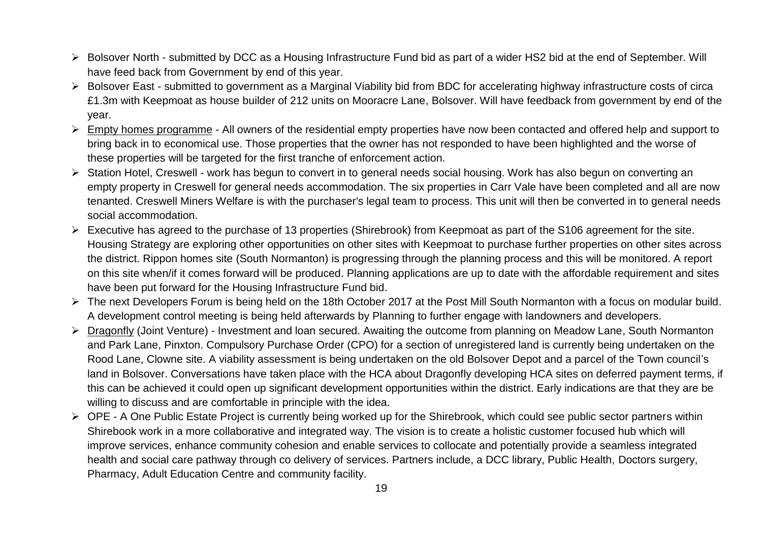- Bolsover North submitted by DCC as a Housing Infrastructure Fund bid as part of a wider HS2 bid at the end of September. Will have feed back from Government by end of this year.
- ▶ Bolsover East submitted to government as a Marginal Viability bid from BDC for accelerating highway infrastructure costs of circa £1.3m with Keepmoat as house builder of 212 units on Mooracre Lane, Bolsover. Will have feedback from government by end of the year.
- $\triangleright$  Empty homes programme All owners of the residential empty properties have now been contacted and offered help and support to bring back in to economical use. Those properties that the owner has not responded to have been highlighted and the worse of these properties will be targeted for the first tranche of enforcement action.
- Station Hotel, Creswell work has begun to convert in to general needs social housing. Work has also begun on converting an empty property in Creswell for general needs accommodation. The six properties in Carr Vale have been completed and all are now tenanted. Creswell Miners Welfare is with the purchaser's legal team to process. This unit will then be converted in to general needs social accommodation.
- $\triangleright$  Executive has agreed to the purchase of 13 properties (Shirebrook) from Keepmoat as part of the S106 agreement for the site. Housing Strategy are exploring other opportunities on other sites with Keepmoat to purchase further properties on other sites across the district. Rippon homes site (South Normanton) is progressing through the planning process and this will be monitored. A report on this site when/if it comes forward will be produced. Planning applications are up to date with the affordable requirement and sites have been put forward for the Housing Infrastructure Fund bid.
- $\triangleright$  The next Developers Forum is being held on the 18th October 2017 at the Post Mill South Normanton with a focus on modular build. A development control meeting is being held afterwards by Planning to further engage with landowners and developers.
- ▶ Dragonfly (Joint Venture) Investment and Ioan secured. Awaiting the outcome from planning on Meadow Lane, South Normanton and Park Lane, Pinxton. Compulsory Purchase Order (CPO) for a section of unregistered land is currently being undertaken on the Rood Lane, Clowne site. A viability assessment is being undertaken on the old Bolsover Depot and a parcel of the Town council's land in Bolsover. Conversations have taken place with the HCA about Dragonfly developing HCA sites on deferred payment terms, if this can be achieved it could open up significant development opportunities within the district. Early indications are that they are be willing to discuss and are comfortable in principle with the idea.
- ▶ OPE A One Public Estate Project is currently being worked up for the Shirebrook, which could see public sector partners within Shirebook work in a more collaborative and integrated way. The vision is to create a holistic customer focused hub which will improve services, enhance community cohesion and enable services to collocate and potentially provide a seamless integrated health and social care pathway through co delivery of services. Partners include, a DCC library, Public Health, Doctors surgery, Pharmacy, Adult Education Centre and community facility.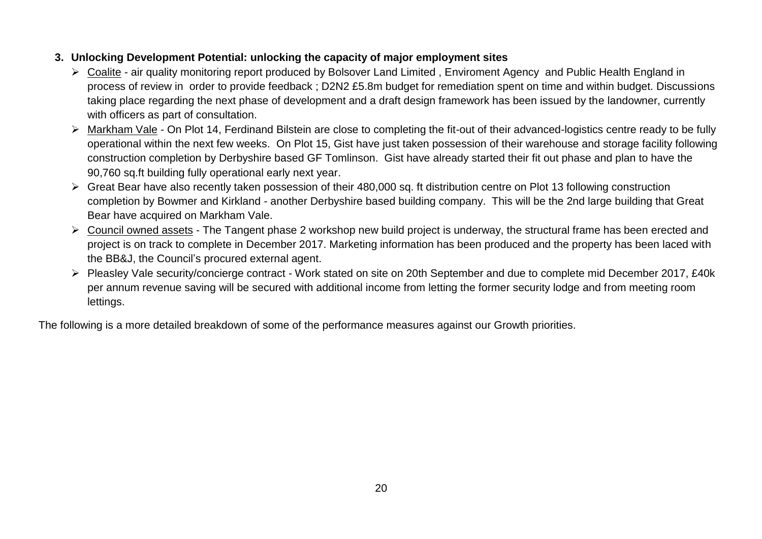## **3. Unlocking Development Potential: unlocking the capacity of major employment sites**

- Coalite air quality monitoring report produced by Bolsover Land Limited , Enviroment Agency and Public Health England in process of review in order to provide feedback ; D2N2 £5.8m budget for remediation spent on time and within budget. Discussions taking place regarding the next phase of development and a draft design framework has been issued by the landowner, currently with officers as part of consultation.
- Markham Vale On Plot 14, Ferdinand Bilstein are close to completing the fit-out of their advanced-logistics centre ready to be fully operational within the next few weeks. On Plot 15, Gist have just taken possession of their warehouse and storage facility following construction completion by Derbyshire based GF Tomlinson. Gist have already started their fit out phase and plan to have the 90,760 sq.ft building fully operational early next year.
- Great Bear have also recently taken possession of their 480,000 sq. ft distribution centre on Plot 13 following construction completion by Bowmer and Kirkland - another Derbyshire based building company. This will be the 2nd large building that Great Bear have acquired on Markham Vale.
- ▶ Council owned assets The Tangent phase 2 workshop new build project is underway, the structural frame has been erected and project is on track to complete in December 2017. Marketing information has been produced and the property has been laced with the BB&J, the Council's procured external agent.
- Pleasley Vale security/concierge contract Work stated on site on 20th September and due to complete mid December 2017, £40k per annum revenue saving will be secured with additional income from letting the former security lodge and from meeting room lettings.

The following is a more detailed breakdown of some of the performance measures against our Growth priorities.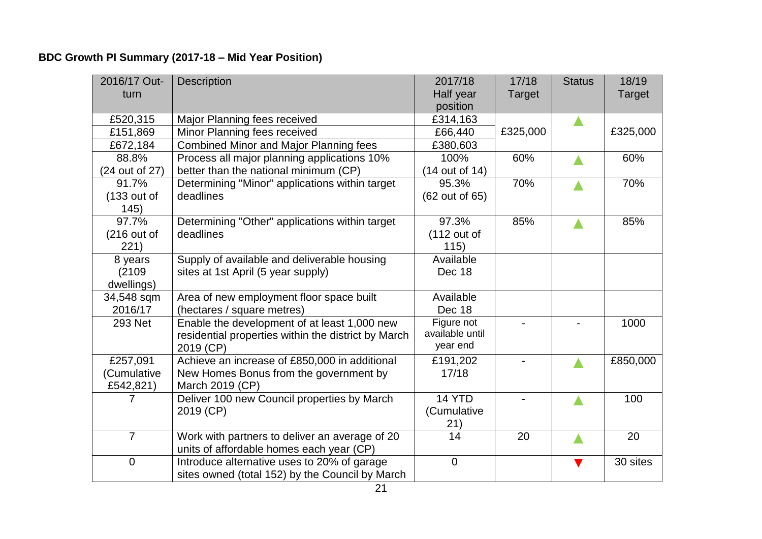# **BDC Growth PI Summary (2017-18 – Mid Year Position)**

| 2016/17 Out-   | <b>Description</b>                                  | 2017/18         | 17/18    | <b>Status</b> | 18/19         |
|----------------|-----------------------------------------------------|-----------------|----------|---------------|---------------|
| turn           |                                                     | Half year       | Target   |               | <b>Target</b> |
|                |                                                     | position        |          |               |               |
| £520,315       | Major Planning fees received                        | £314,163        |          |               |               |
| £151,869       | Minor Planning fees received                        | £66,440         | £325,000 |               | £325,000      |
| £672,184       | <b>Combined Minor and Major Planning fees</b>       | £380,603        |          |               |               |
| 88.8%          | Process all major planning applications 10%         | 100%            | 60%      |               | 60%           |
| (24 out of 27) | better than the national minimum (CP)               | (14 out of 14)  |          |               |               |
| 91.7%          | Determining "Minor" applications within target      | 95.3%           | 70%      |               | 70%           |
| $(133$ out of  | deadlines                                           | (62 out of 65)  |          |               |               |
| 145)           |                                                     |                 |          |               |               |
| 97.7%          | Determining "Other" applications within target      | 97.3%           | 85%      |               | 85%           |
| $(216$ out of  | deadlines                                           | $(112$ out of   |          |               |               |
| 221)           |                                                     | 115)            |          |               |               |
| 8 years        | Supply of available and deliverable housing         | Available       |          |               |               |
| (2109)         | sites at 1st April (5 year supply)                  | Dec 18          |          |               |               |
| dwellings)     |                                                     |                 |          |               |               |
| 34,548 sqm     | Area of new employment floor space built            | Available       |          |               |               |
| 2016/17        | (hectares / square metres)                          | Dec 18          |          |               |               |
| 293 Net        | Enable the development of at least 1,000 new        | Figure not      |          |               | 1000          |
|                | residential properties within the district by March | available until |          |               |               |
|                | 2019 (CP)                                           | year end        |          |               |               |
| £257,091       | Achieve an increase of £850,000 in additional       | £191,202        |          |               | £850,000      |
| (Cumulative    | New Homes Bonus from the government by              | 17/18           |          |               |               |
| £542,821)      | March 2019 (CP)                                     |                 |          |               |               |
| 7              | Deliver 100 new Council properties by March         | 14 YTD          |          |               | 100           |
|                | 2019 (CP)                                           | (Cumulative     |          |               |               |
|                |                                                     | 21)             |          |               |               |
| $\overline{7}$ | Work with partners to deliver an average of 20      | 14              | 20       |               | 20            |
|                | units of affordable homes each year (CP)            |                 |          |               |               |
| $\mathbf 0$    | Introduce alternative uses to 20% of garage         | $\mathbf 0$     |          |               | 30 sites      |
|                | sites owned (total 152) by the Council by March     |                 |          |               |               |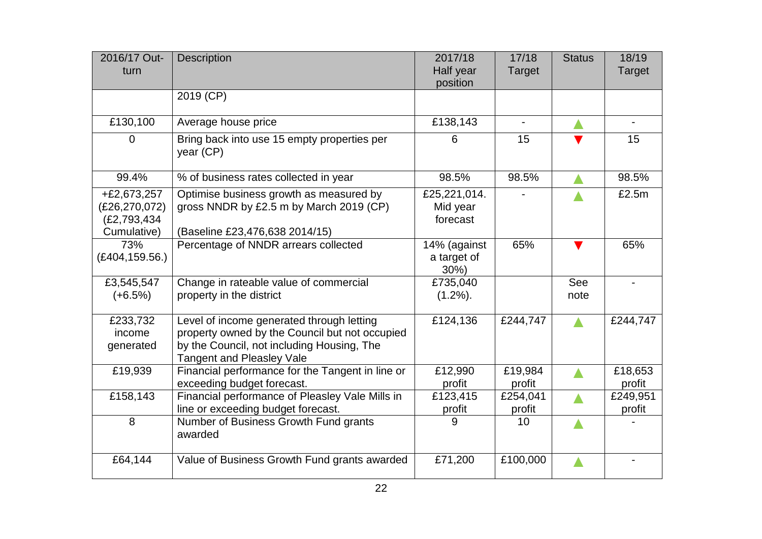| 2016/17 Out-<br>turn                                           | <b>Description</b>                                                                                                                                                            | 2017/18<br>Half year                   | 17/18<br><b>Target</b> | <b>Status</b> | 18/19<br><b>Target</b> |
|----------------------------------------------------------------|-------------------------------------------------------------------------------------------------------------------------------------------------------------------------------|----------------------------------------|------------------------|---------------|------------------------|
|                                                                |                                                                                                                                                                               | position                               |                        |               |                        |
|                                                                | 2019 (CP)                                                                                                                                                                     |                                        |                        |               |                        |
| £130,100                                                       | Average house price                                                                                                                                                           | £138,143                               | $\blacksquare$         |               | $\blacksquare$         |
| $\Omega$                                                       | Bring back into use 15 empty properties per<br>year (CP)                                                                                                                      | 6                                      | 15                     |               | 15                     |
| 99.4%                                                          | % of business rates collected in year                                                                                                                                         | 98.5%                                  | 98.5%                  |               | 98.5%                  |
| $+£2,673,257$<br>(E26, 270, 072)<br>(£2,793,434<br>Cumulative) | Optimise business growth as measured by<br>gross NNDR by £2.5 m by March 2019 (CP)<br>(Baseline £23,476,638 2014/15)                                                          | £25,221,014.<br>Mid year<br>forecast   |                        |               | £2.5m                  |
| 73%<br>(E404, 159.56.)                                         | Percentage of NNDR arrears collected                                                                                                                                          | 14% (against<br>a target of<br>$30\%)$ | 65%                    |               | 65%                    |
| £3,545,547<br>$(+6.5%)$                                        | Change in rateable value of commercial<br>property in the district                                                                                                            | £735,040<br>$(1.2\%)$ .                |                        | See<br>note   | $\blacksquare$         |
| £233,732<br>income<br>generated                                | Level of income generated through letting<br>property owned by the Council but not occupied<br>by the Council, not including Housing, The<br><b>Tangent and Pleasley Vale</b> | £124,136                               | £244,747               |               | £244,747               |
| £19,939                                                        | Financial performance for the Tangent in line or<br>exceeding budget forecast.                                                                                                | £12,990<br>profit                      | £19,984<br>profit      |               | £18,653<br>profit      |
| £158,143                                                       | Financial performance of Pleasley Vale Mills in<br>line or exceeding budget forecast.                                                                                         | £123,415<br>profit                     | £254,041<br>profit     |               | £249,951<br>profit     |
| 8                                                              | Number of Business Growth Fund grants<br>awarded                                                                                                                              | 9                                      | 10                     |               |                        |
| £64,144                                                        | Value of Business Growth Fund grants awarded                                                                                                                                  | £71,200                                | £100,000               |               |                        |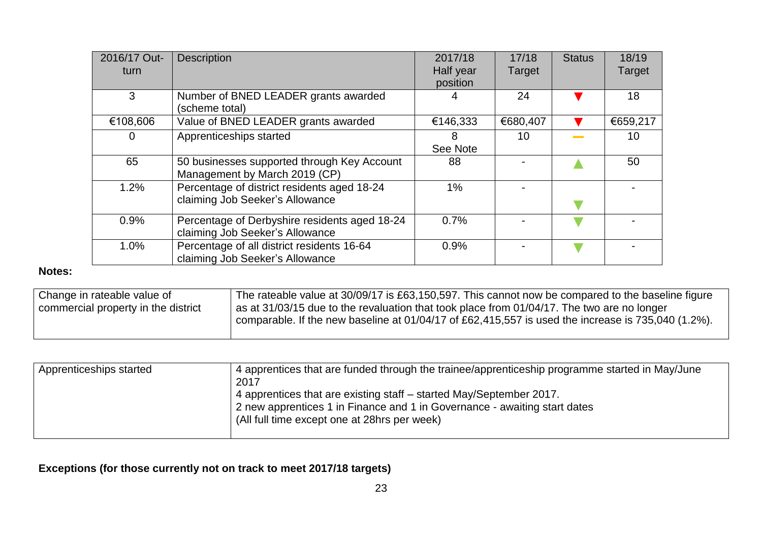| 2016/17 Out- | <b>Description</b>                            | 2017/18   | 17/18    | <b>Status</b> | 18/19    |
|--------------|-----------------------------------------------|-----------|----------|---------------|----------|
| turn.        |                                               | Half year | Target   |               | Target   |
|              |                                               | position  |          |               |          |
| 3            | Number of BNED LEADER grants awarded          |           | 24       |               | 18       |
|              | (scheme total)                                |           |          |               |          |
| €108,606     | Value of BNED LEADER grants awarded           | €146,333  | €680,407 |               | €659,217 |
| O            | Apprenticeships started                       | 8         | 10       |               | 10       |
|              |                                               | See Note  |          |               |          |
| 65           | 50 businesses supported through Key Account   | 88        |          |               | 50       |
|              | Management by March 2019 (CP)                 |           |          |               |          |
| 1.2%         | Percentage of district residents aged 18-24   | 1%        |          |               |          |
|              | claiming Job Seeker's Allowance               |           |          |               |          |
| 0.9%         | Percentage of Derbyshire residents aged 18-24 | 0.7%      |          |               |          |
|              | claiming Job Seeker's Allowance               |           |          |               |          |
| 1.0%         | Percentage of all district residents 16-64    | 0.9%      |          |               |          |
|              | claiming Job Seeker's Allowance               |           |          |               |          |

## **Notes:**

| <sup>1</sup> Change in rateable value of | The rateable value at 30/09/17 is £63,150,597. This cannot now be compared to the baseline figure  |
|------------------------------------------|----------------------------------------------------------------------------------------------------|
| commercial property in the district      | as at 31/03/15 due to the revaluation that took place from 01/04/17. The two are no longer         |
|                                          | comparable. If the new baseline at 01/04/17 of £62,415,557 is used the increase is 735,040 (1.2%). |
|                                          |                                                                                                    |

| Apprenticeships started | 4 apprentices that are funded through the trainee/apprenticeship programme started in May/June<br>2017<br>4 apprentices that are existing staff – started May/September 2017.<br>2 new apprentices 1 in Finance and 1 in Governance - awaiting start dates<br>(All full time except one at 28hrs per week) |
|-------------------------|------------------------------------------------------------------------------------------------------------------------------------------------------------------------------------------------------------------------------------------------------------------------------------------------------------|
|                         |                                                                                                                                                                                                                                                                                                            |

# **Exceptions (for those currently not on track to meet 2017/18 targets)**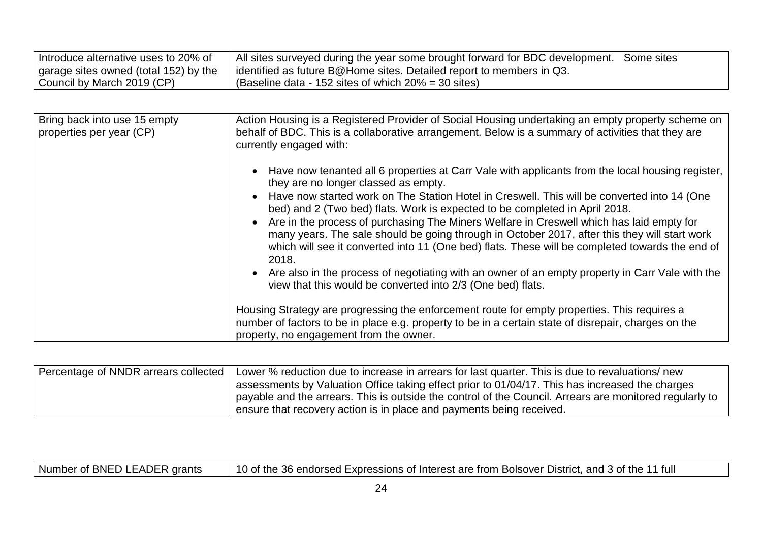| I Introduce alternative uses to 20% of | All sites surveyed during the year some brought forward for BDC development. Some sites |  |
|----------------------------------------|-----------------------------------------------------------------------------------------|--|
| garage sites owned (total 152) by the  | identified as future B@Home sites. Detailed report to members in Q3.                    |  |
| Council by March 2019 (CP)             | (Baseline data - 152 sites of which $20\% = 30$ sites)                                  |  |

| Bring back into use 15 empty<br>properties per year (CP) | Action Housing is a Registered Provider of Social Housing undertaking an empty property scheme on<br>behalf of BDC. This is a collaborative arrangement. Below is a summary of activities that they are<br>currently engaged with:                                                                                                                                                                                                                                                                                                                                                                                                                                                                                                                                                                |
|----------------------------------------------------------|---------------------------------------------------------------------------------------------------------------------------------------------------------------------------------------------------------------------------------------------------------------------------------------------------------------------------------------------------------------------------------------------------------------------------------------------------------------------------------------------------------------------------------------------------------------------------------------------------------------------------------------------------------------------------------------------------------------------------------------------------------------------------------------------------|
|                                                          | Have now tenanted all 6 properties at Carr Vale with applicants from the local housing register,<br>they are no longer classed as empty.<br>Have now started work on The Station Hotel in Creswell. This will be converted into 14 (One<br>bed) and 2 (Two bed) flats. Work is expected to be completed in April 2018.<br>Are in the process of purchasing The Miners Welfare in Creswell which has laid empty for<br>many years. The sale should be going through in October 2017, after this they will start work<br>which will see it converted into 11 (One bed) flats. These will be completed towards the end of<br>2018.<br>Are also in the process of negotiating with an owner of an empty property in Carr Vale with the<br>view that this would be converted into 2/3 (One bed) flats. |
|                                                          | Housing Strategy are progressing the enforcement route for empty properties. This requires a<br>number of factors to be in place e.g. property to be in a certain state of disrepair, charges on the<br>property, no engagement from the owner.                                                                                                                                                                                                                                                                                                                                                                                                                                                                                                                                                   |

| Percentage of NNDR arrears collected | Lower % reduction due to increase in arrears for last quarter. This is due to revaluations/ new         |
|--------------------------------------|---------------------------------------------------------------------------------------------------------|
|                                      | assessments by Valuation Office taking effect prior to 01/04/17. This has increased the charges         |
|                                      | payable and the arrears. This is outside the control of the Council. Arrears are monitored regularly to |
|                                      | ensure that recovery action is in place and payments being received.                                    |

Number of BNED LEADER grants | 10 of the 36 endorsed Expressions of Interest are from Bolsover District, and 3 of the 11 full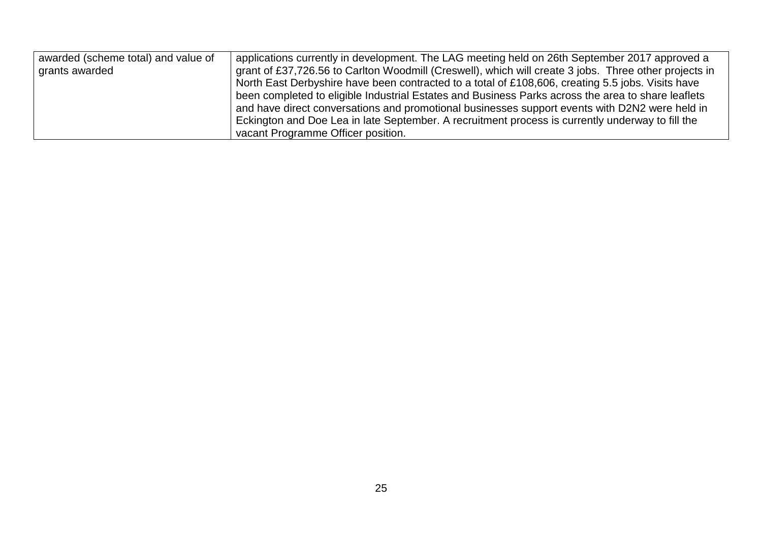| awarded (scheme total) and value of | applications currently in development. The LAG meeting held on 26th September 2017 approved a         |
|-------------------------------------|-------------------------------------------------------------------------------------------------------|
| grants awarded                      | grant of £37,726.56 to Carlton Woodmill (Creswell), which will create 3 jobs. Three other projects in |
|                                     | North East Derbyshire have been contracted to a total of £108,606, creating 5.5 jobs. Visits have     |
|                                     | been completed to eligible Industrial Estates and Business Parks across the area to share leaflets    |
|                                     | and have direct conversations and promotional businesses support events with D2N2 were held in        |
|                                     | Eckington and Doe Lea in late September. A recruitment process is currently underway to fill the      |
|                                     | vacant Programme Officer position.                                                                    |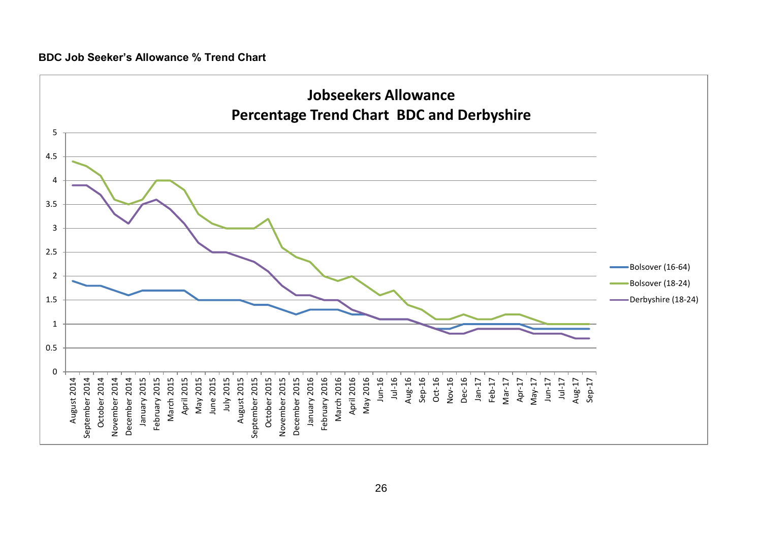#### **BDC Job Seeker's Allowance % Trend Chart**